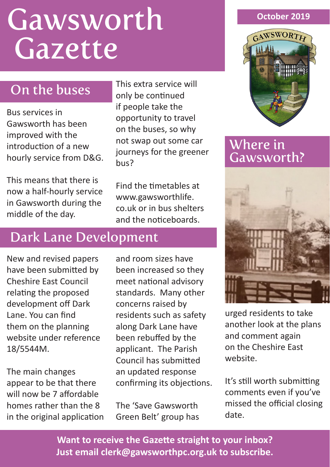# **Gawsworth** Gazette

# On the buses

Bus services in Gawsworth has been improved with the introduction of a new hourly service from D&G.

This means that there is now a half-hourly service in Gawsworth during the middle of the day.

This extra service will only be continued if people take the opportunity to travel on the buses, so why not swap out some car journeys for the greener bus?

Find the timetables at www.gawsworthlife. co.uk or in bus shelters and the noticeboards.

# Dark Lane Development

New and revised papers have been submitted by Cheshire East Council relating the proposed development off Dark Lane. You can find them on the planning website under reference 18/5544M.

The main changes appear to be that there will now be 7 affordable homes rather than the 8 in the original application and room sizes have been increased so they meet national advisory standards. Many other concerns raised by residents such as safety along Dark Lane have been rebuffed by the applicant. The Parish Council has submitted an updated response confirming its objections.

The 'Save Gawsworth Green Belt' group has

#### **October 2019**



## Where in Gawsworth?



urged residents to take another look at the plans and comment again on the Cheshire East website.

It's still worth submitting comments even if you've missed the official closing date.

**Want to receive the Gazette straight to your inbox? Just email clerk@gawsworthpc.org.uk to subscribe.**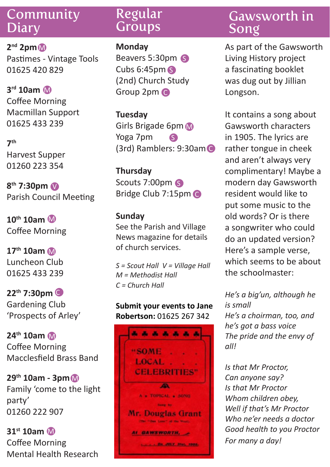## Community **Diary**

**2nd 2pm**  M Pastimes - Vintage Tools 01625 420 829

**3rd 10am** M Coffee Morning Macmillan Support 01625 433 239

**7th** Harvest Supper 01260 223 354

**8th 7:30pm** V Parish Council Meeting

**10th 10am** M Coffee Morning

**17th 10am** M Luncheon Club 01625 433 239

**22th 7:30pm** C Gardening Club 'Prospects of Arley'

**24th 10am** M Coffee Morning Macclesfield Brass Band

**29th 10am - 3pm** M Family 'come to the light party' 01260 222 907

**31st 10am** MCoffee Morning Mental Health Research

## Regular **Groups**

#### **Monday**

Beavers 5:30pm S Cubs 6:45pm S (2nd) Church Study Group 2pm C

**Tuesday** Girls Brigade 6pm Yoga 7pm (3rd) Ramblers: 9:30am C S

**Thursday** Scouts 7:00pm Bridge Club 7:15pm C

#### **Sunday**

See the Parish and Village News magazine for details of church services.

*S = Scout Hall V = Village Hall M = Methodist Hall C = Church Hall* 

#### **Submit your events to Jane Robertson:** 01625 267 342



# Gawsworth in Song

As part of the Gawsworth Living History project a fascinating booklet was dug out by Jillian Longson.

It contains a song about Gawsworth characters in 1905. The lyrics are rather tongue in cheek and aren't always very complimentary! Maybe a modern day Gawsworth resident would like to put some music to the old words? Or is there a songwriter who could do an updated version? Here's a sample verse, which seems to be about the schoolmaster:

*He's a big'un, although he is small He's a choirman, too, and he's got a bass voice The pride and the envy of all!*

*Is that Mr Proctor, Can anyone say? Is that Mr Proctor Whom children obey, Well if that's Mr Proctor Who ne'er needs a doctor Good health to you Proctor For many a day!*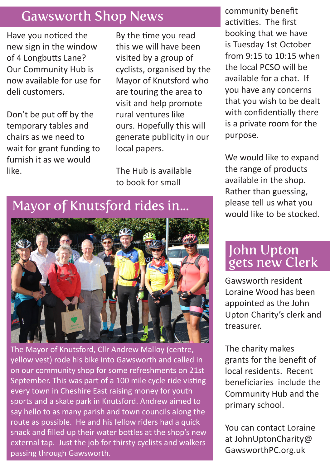# Gawsworth Shop News

Have you noticed the new sign in the window of 4 Longbutts Lane? Our Community Hub is now available for use for deli customers.

Don't be put off by the temporary tables and chairs as we need to wait for grant funding to furnish it as we would like.

By the time you read this we will have been visited by a group of cyclists, organised by the Mayor of Knutsford who are touring the area to visit and help promote rural ventures like ours. Hopefully this will generate publicity in our local papers.

The Hub is available to book for small

community benefit activities. The first booking that we have is Tuesday 1st October from 9:15 to 10:15 when the local PCSO will be available for a chat. If you have any concerns that you wish to be dealt with confidentially there is a private room for the purpose.

We would like to expand the range of products available in the shop. Rather than guessing, please tell us what you would like to be stocked.

# John Upton gets new Clerk

Gawsworth resident Loraine Wood has been appointed as the John Upton Charity's clerk and treasurer.

The charity makes grants for the benefit of local residents. Recent beneficiaries include the Community Hub and the primary school.

You can contact Loraine at JohnUptonCharity@ GawsworthPC.org.uk

## Mayor of Knutsford rides in...



The Mayor of Knutsford, Cllr Andrew Malloy (centre, yellow vest) rode his bike into Gawsworth and called in on our community shop for some refreshments on 21st September. This was part of a 100 mile cycle ride visting every town in Cheshire East raising money for youth sports and a skate park in Knutsford. Andrew aimed to say hello to as many parish and town councils along the route as possible. He and his fellow riders had a quick snack and filled up their water bottles at the shop's new external tap. Just the job for thirsty cyclists and walkers passing through Gawsworth.